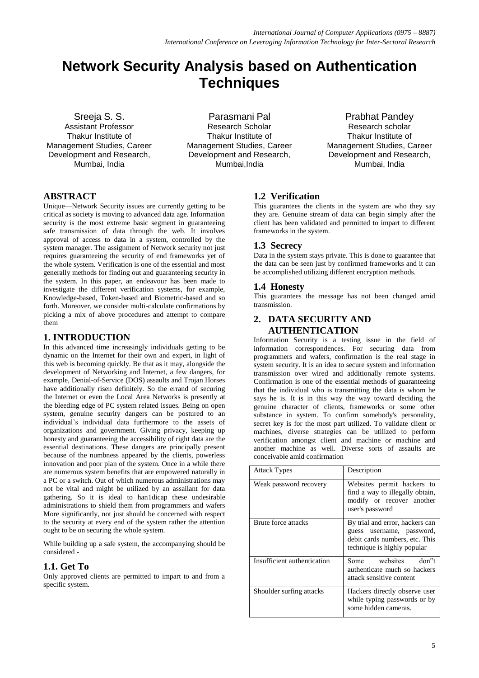# **Network Security Analysis based on Authentication Techniques**

Sreeja S. S. Assistant Professor Thakur Institute of Management Studies, Career Development and Research, Mumbai, India

Parasmani Pal Research Scholar Thakur Institute of Management Studies, Career Development and Research, Mumbai,India

Prabhat Pandey Research scholar Thakur Institute of Management Studies, Career Development and Research, Mumbai, India

# **ABSTRACT**

Unique—Network Security issues are currently getting to be critical as society is moving to advanced data age. Information security is the most extreme basic segment in guaranteeing safe transmission of data through the web. It involves approval of access to data in a system, controlled by the system manager. The assignment of Network security not just requires guaranteeing the security of end frameworks yet of the whole system. Verification is one of the essential and most generally methods for finding out and guaranteeing security in the system. In this paper, an endeavour has been made to investigate the different verification systems, for example, Knowledge-based, Token-based and Biometric-based and so forth. Moreover, we consider multi-calculate confirmations by picking a mix of above procedures and attempt to compare them

## **1. INTRODUCTION**

In this advanced time increasingly individuals getting to be dynamic on the Internet for their own and expert, in light of this web is becoming quickly. Be that as it may, alongside the development of Networking and Internet, a few dangers, for example, Denial-of-Service (DOS) assaults and Trojan Horses have additionally risen definitely. So the errand of securing the Internet or even the Local Area Networks is presently at the bleeding edge of PC system related issues. Being on open system, genuine security dangers can be postured to an individual's individual data furthermore to the assets of organizations and government. Giving privacy, keeping up honesty and guaranteeing the accessibility of right data are the essential destinations. These dangers are principally present because of the numbness appeared by the clients, powerless innovation and poor plan of the system. Once in a while there are numerous system benefits that are empowered naturally in a PC or a switch. Out of which numerous administrations may not be vital and might be utilized by an assailant for data gathering. So it is ideal to han1dicap these undesirable administrations to shield them from programmers and wafers More significantly, not just should be concerned with respect to the security at every end of the system rather the attention ought to be on securing the whole system.

While building up a safe system, the accompanying should be considered -

## **1.1. Get To**

Only approved clients are permitted to impart to and from a specific system.

## **1.2 Verification**

This guarantees the clients in the system are who they say they are. Genuine stream of data can begin simply after the client has been validated and permitted to impart to different frameworks in the system.

# **1.3 Secrecy**

Data in the system stays private. This is done to guarantee that the data can be seen just by confirmed frameworks and it can be accomplished utilizing different encryption methods.

## **1.4 Honesty**

This guarantees the message has not been changed amid transmission.

# **2. DATA SECURITY AND AUTHENTICATION**

Information Security is a testing issue in the field of information correspondences. For securing data from programmers and wafers, confirmation is the real stage in system security. It is an idea to secure system and information transmission over wired and additionally remote systems. Confirmation is one of the essential methods of guaranteeing that the individual who is transmitting the data is whom he says he is. It is in this way the way toward deciding the genuine character of clients, frameworks or some other substance in system. To confirm somebody's personality, secret key is for the most part utilized. To validate client or machines, diverse strategies can be utilized to perform verification amongst client and machine or machine and another machine as well. Diverse sorts of assaults are conceivable amid confirmation

| <b>Attack Types</b>         | Description                                                                                                                   |
|-----------------------------|-------------------------------------------------------------------------------------------------------------------------------|
| Weak password recovery      | Websites permit hackers to<br>find a way to illegally obtain,<br>modify or recover another<br>user's password                 |
| Brute force attacks         | By trial and error, hackers can<br>guess username, password,<br>debit cards numbers, etc. This<br>technique is highly popular |
| Insufficient authentication | Some websites<br>don"t<br>authenticate much so hackers<br>attack sensitive content                                            |
| Shoulder surfing attacks    | Hackers directly observe user<br>while typing passwords or by<br>some hidden cameras.                                         |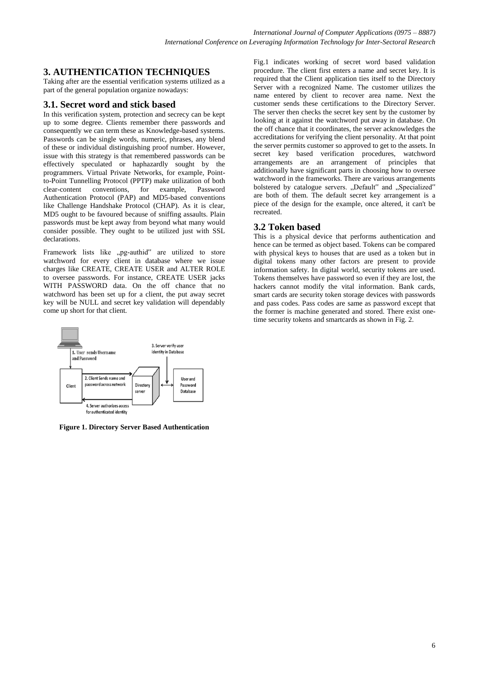## **3. AUTHENTICATION TECHNIQUES**

Taking after are the essential verification systems utilized as a part of the general population organize nowadays:

## **3.1. Secret word and stick based**

In this verification system, protection and secrecy can be kept up to some degree. Clients remember there passwords and consequently we can term these as Knowledge-based systems. Passwords can be single words, numeric, phrases, any blend of these or individual distinguishing proof number. However, issue with this strategy is that remembered passwords can be effectively speculated or haphazardly sought by the programmers. Virtual Private Networks, for example, Pointto-Point Tunnelling Protocol (PPTP) make utilization of both clear-content conventions, for example, Password Authentication Protocol (PAP) and MD5-based conventions like Challenge Handshake Protocol (CHAP). As it is clear, MD5 ought to be favoured because of sniffing assaults. Plain passwords must be kept away from beyond what many would consider possible. They ought to be utilized just with SSL declarations.

Framework lists like "pg-authid" are utilized to store watchword for every client in database where we issue charges like CREATE, CREATE USER and ALTER ROLE to oversee passwords. For instance, CREATE USER jacks WITH PASSWORD data. On the off chance that no watchword has been set up for a client, the put away secret key will be NULL and secret key validation will dependably come up short for that client.



**Figure 1. Directory Server Based Authentication**

Fig.1 indicates working of secret word based validation procedure. The client first enters a name and secret key. It is required that the Client application ties itself to the Directory Server with a recognized Name. The customer utilizes the name entered by client to recover area name. Next the customer sends these certifications to the Directory Server. The server then checks the secret key sent by the customer by looking at it against the watchword put away in database. On the off chance that it coordinates, the server acknowledges the accreditations for verifying the client personality. At that point the server permits customer so approved to get to the assets. In secret key based verification procedures, watchword arrangements are an arrangement of principles that additionally have significant parts in choosing how to oversee watchword in the frameworks. There are various arrangements bolstered by catalogue servers. "Default" and "Specialized" are both of them. The default secret key arrangement is a piece of the design for the example, once altered, it can't be recreated.

## **3.2 Token based**

This is a physical device that performs authentication and hence can be termed as object based. Tokens can be compared with physical keys to houses that are used as a token but in digital tokens many other factors are present to provide information safety. In digital world, security tokens are used. Tokens themselves have password so even if they are lost, the hackers cannot modify the vital information. Bank cards, smart cards are security token storage devices with passwords and pass codes. Pass codes are same as password except that the former is machine generated and stored. There exist onetime security tokens and smartcards as shown in Fig. 2.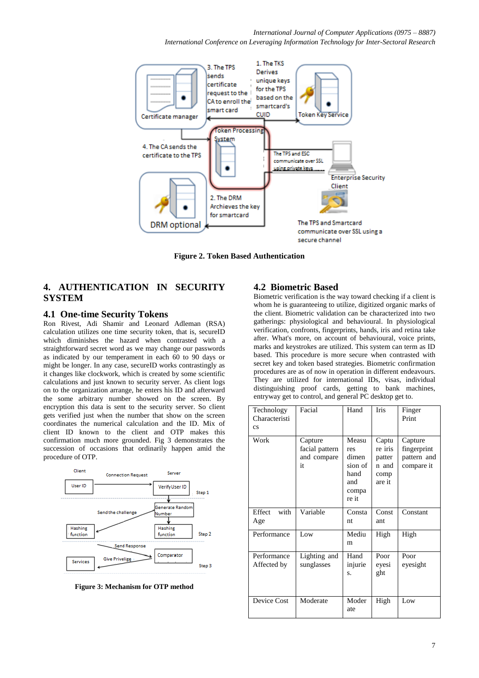*International Conference on Leveraging Information Technology for Inter-Sectoral Research*



**Figure 2. Token Based Authentication**

## **4. AUTHENTICATION IN SECURITY SYSTEM**

#### **4.1 One-time Security Tokens**

Ron Rivest, Adi Shamir and Leonard Adleman (RSA) calculation utilizes one time security token, that is, secureID which diminishes the hazard when contrasted with a straightforward secret word as we may change our passwords as indicated by our temperament in each 60 to 90 days or might be longer. In any case, secureID works contrastingly as it changes like clockwork, which is created by some scientific calculations and just known to security server. As client logs on to the organization arrange, he enters his ID and afterward the some arbitrary number showed on the screen. By encryption this data is sent to the security server. So client gets verified just when the number that show on the screen coordinates the numerical calculation and the ID. Mix of client ID known to the client and OTP makes this confirmation much more grounded. Fig 3 demonstrates the succession of occasions that ordinarily happen amid the procedure of OTP.



**Figure 3: Mechanism for OTP method**

## **4.2 Biometric Based**

Biometric verification is the way toward checking if a client is whom he is guaranteeing to utilize, digitized organic marks of the client. Biometric validation can be characterized into two gatherings: physiological and behavioural. In physiological verification, confronts, fingerprints, hands, iris and retina take after. What's more, on account of behavioural, voice prints, marks and keystrokes are utilized. This system can term as ID based. This procedure is more secure when contrasted with secret key and token based strategies. Biometric confirmation procedures are as of now in operation in different endeavours. They are utilized for international IDs, visas, individual distinguishing proof cards, getting to bank machines, entryway get to control, and general PC desktop get to.

| Technology<br>Characteristi<br>$\mathbf{c}\mathbf{s}$ | Facial                                         | Hand                                                              | <b>Iris</b>                                           | Finger<br>Print                                     |
|-------------------------------------------------------|------------------------------------------------|-------------------------------------------------------------------|-------------------------------------------------------|-----------------------------------------------------|
| Work                                                  | Capture<br>facial pattern<br>and compare<br>it | Measu<br>res<br>dimen<br>sion of<br>hand<br>and<br>compa<br>re it | Captu<br>re iris<br>patter<br>n and<br>comp<br>are it | Capture<br>fingerprint<br>pattern and<br>compare it |
| Effect<br>with<br>Age                                 | Variable                                       | Consta<br>nt                                                      | Const<br>ant                                          | Constant                                            |
| Performance                                           | Low                                            | Mediu<br>m                                                        | High                                                  | High                                                |
| Performance<br>Affected by                            | Lighting and<br>sunglasses                     | Hand<br>injurie<br>S.                                             | Poor<br>eyesi<br>ght                                  | Poor<br>eyesight                                    |
| Device Cost                                           | Moderate                                       | Moder<br>ate                                                      | High                                                  | Low                                                 |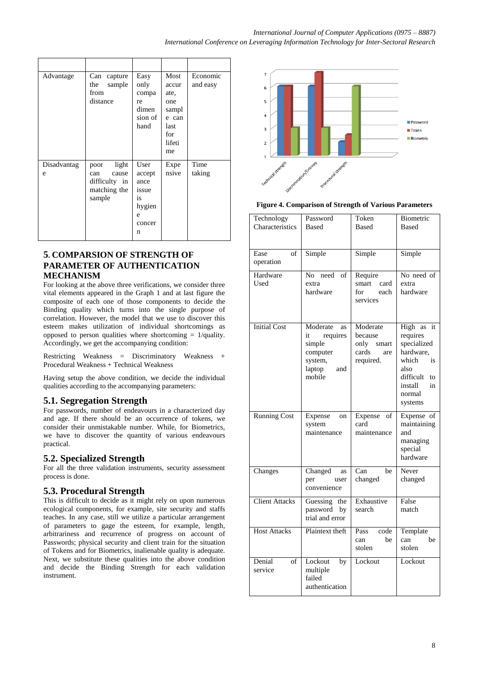| Advantage        | Can<br>capture<br>sample<br>the<br>from<br>distance                      | Easy<br>only<br>compa<br>re<br>dimen<br>sion of<br>hand             | Most<br>accur<br>ate,<br>one<br>sampl<br>e can<br>last<br>for<br>lifeti<br>me | Economic<br>and easy |
|------------------|--------------------------------------------------------------------------|---------------------------------------------------------------------|-------------------------------------------------------------------------------|----------------------|
| Disadvantag<br>e | light<br>poor<br>cause<br>can<br>difficulty in<br>matching the<br>sample | User<br>accept<br>ance<br>issue<br>is<br>hygien<br>e<br>concer<br>n | Expe<br>nsive                                                                 | Time<br>taking       |

## **5. COMPARSION OF STRENGTH OF PARAMETER OF AUTHENTICATION MECHANISM**

For looking at the above three verifications, we consider three vital elements appeared in the Graph 1 and at last figure the composite of each one of those components to decide the Binding quality which turns into the single purpose of correlation. However, the model that we use to discover this esteem makes utilization of individual shortcomings as opposed to person qualities where shortcoming  $= 1$ /quality. Accordingly, we get the accompanying condition:

Restricting Weakness = Discriminatory Weakness + Procedural Weakness + Technical Weakness

Having setup the above condition, we decide the individual qualities according to the accompanying parameters:

# **5.1. Segregation Strength**

For passwords, number of endeavours in a characterized day and age. If there should be an occurrence of tokens, we consider their unmistakable number. While, for Biometrics, we have to discover the quantity of various endeavours practical.

# **5.2. Specialized Strength**

For all the three validation instruments, security assessment process is done.

# **5.3. Procedural Strength**

This is difficult to decide as it might rely on upon numerous ecological components, for example, site security and staffs teaches. In any case, still we utilize a particular arrangement of parameters to gage the esteem, for example, length, arbitrariness and recurrence of progress on account of Passwords; physical security and client train for the situation of Tokens and for Biometrics, inalienable quality is adequate. Next, we substitute these qualities into the above condition and decide the Binding Strength for each validation instrument.



#### **Figure 4. Comparison of Strength of Various Parameters**

| Technology<br>Characteristics | Password<br><b>Based</b>                                                                     | Token<br><b>Based</b>                                             | Biometric<br><b>Based</b>                                                                                                             |  |
|-------------------------------|----------------------------------------------------------------------------------------------|-------------------------------------------------------------------|---------------------------------------------------------------------------------------------------------------------------------------|--|
| Ease<br>of<br>operation       | Simple                                                                                       | Simple                                                            | Simple                                                                                                                                |  |
| Hardware<br>Used              | No need<br>$\overline{\text{of}}$<br>extra<br>hardware                                       | Require<br>smart<br>card<br>for<br>each<br>services               | No need of<br>extra<br>hardware                                                                                                       |  |
| <b>Initial Cost</b>           | Moderate<br>as<br>requires<br>it<br>simple<br>computer<br>system,<br>laptop<br>and<br>mobile | Moderate<br>because<br>only<br>smart<br>cards<br>are<br>required. | High as<br>it<br>requires<br>specialized<br>hardware,<br>which<br>is<br>also<br>difficult<br>to<br>in<br>install<br>normal<br>systems |  |
| <b>Running Cost</b>           | Expense<br>on<br>system<br>maintenance                                                       | Expense<br>of<br>card<br>maintenance                              | Expense of<br>maintaining<br>and<br>managing<br>special<br>hardware                                                                   |  |
| Changes                       | Changed<br>as<br>per<br>user<br>convenience                                                  | Can<br>be<br>changed                                              | Never<br>changed                                                                                                                      |  |
| <b>Client Attacks</b>         | Guessing the<br>password by<br>trial and error                                               | Exhaustive<br>search                                              | False<br>match                                                                                                                        |  |
| <b>Host Attacks</b>           | Plaintext theft                                                                              | Pass<br>code<br>be<br>can<br>stolen                               | Template<br>be<br>can<br>stolen                                                                                                       |  |
| Denial<br>of<br>service       | Lockout<br>by<br>multiple<br>failed<br>authentication                                        | Lockout                                                           | Lockout                                                                                                                               |  |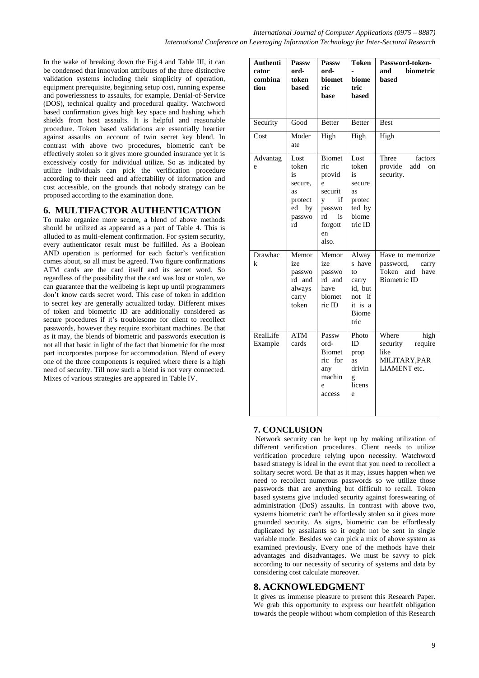In the wake of breaking down the Fig.4 and Table III, it can be condensed that innovation attributes of the three distinctive validation systems including their simplicity of operation, equipment prerequisite, beginning setup cost, running expense and powerlessness to assaults, for example, Denial-of-Service (DOS), technical quality and procedural quality. Watchword based confirmation gives high key space and hashing which shields from host assaults. It is helpful and reasonable procedure. Token based validations are essentially heartier against assaults on account of twin secret key blend. In contrast with above two procedures, biometric can't be effectively stolen so it gives more grounded insurance yet it is excessively costly for individual utilize. So as indicated by utilize individuals can pick the verification procedure according to their need and affectability of information and cost accessible, on the grounds that nobody strategy can be proposed according to the examination done.

# **6. MULTIFACTOR AUTHENTICATION**

To make organize more secure, a blend of above methods should be utilized as appeared as a part of Table 4. This is alluded to as multi-element confirmation. For system security, every authenticator result must be fulfilled. As a Boolean AND operation is performed for each factor's verification comes about, so all must be agreed. Two figure confirmations ATM cards are the card itself and its secret word. So regardless of the possibility that the card was lost or stolen, we can guarantee that the wellbeing is kept up until programmers don't know cards secret word. This case of token in addition to secret key are generally actualized today. Different mixes of token and biometric ID are additionally considered as secure procedures if it's troublesome for client to recollect passwords, however they require exorbitant machines. Be that as it may, the blends of biometric and passwords execution is not all that basic in light of the fact that biometric for the most part incorporates purpose for accommodation. Blend of every one of the three components is required where there is a high need of security. Till now such a blend is not very connected. Mixes of various strategies are appeared in Table IV.

| <b>Authenti</b><br>cator<br>combina<br>tion | Passw<br>ord-<br>token<br>based                                             | Passw<br>ord-<br>biomet<br>ric<br>base                                                                    | <b>Token</b><br>biome<br>tric<br>based                                                 | Password-token-<br><b>biometric</b><br>and<br>based                                   |
|---------------------------------------------|-----------------------------------------------------------------------------|-----------------------------------------------------------------------------------------------------------|----------------------------------------------------------------------------------------|---------------------------------------------------------------------------------------|
| Security                                    | Good                                                                        | <b>Better</b>                                                                                             | <b>Better</b>                                                                          | <b>Best</b>                                                                           |
| Cost                                        | Moder<br>ate                                                                | High                                                                                                      | High                                                                                   | High                                                                                  |
| Advantag<br>e                               | Lost<br>token<br>is<br>secure,<br>as<br>protect<br>ed<br>by<br>passwo<br>rd | <b>Biomet</b><br>ric<br>provid<br>e<br>securit<br>if<br>y<br>passwo<br>rd<br>is<br>forgott<br>en<br>also. | Lost<br>token<br>is<br>secure<br>as<br>protec<br>ted by<br>biome<br>tric ID            | factors<br>Three<br>provide<br>add<br>on<br>security.                                 |
| Drawbac<br>k                                | Memor<br>ize<br>passwo<br>rd and<br>always<br>carry<br>token                | Memor<br>ize<br>passwo<br>rd and<br>have<br>biomet<br>ric ID                                              | Alway<br>s have<br>to<br>carry<br>id, but<br>not if<br>it is a<br><b>Biome</b><br>tric | Have to memorize<br>password,<br>carry<br>Token<br>and<br>have<br><b>Biometric ID</b> |
| RealLife<br>Example                         | <b>ATM</b><br>cards                                                         | Passw<br>ord-<br><b>Biomet</b><br>ric for<br>any<br>machin<br>e<br>access                                 | Photo<br>ID<br>prop<br>as<br>drivin<br>g<br>licens<br>e                                | Where<br>high<br>security<br>require<br>like<br>MILITARY, PAR<br><b>LIAMENT</b> etc.  |

## **7. CONCLUSION**

Network security can be kept up by making utilization of different verification procedures. Client needs to utilize verification procedure relying upon necessity. Watchword based strategy is ideal in the event that you need to recollect a solitary secret word. Be that as it may, issues happen when we need to recollect numerous passwords so we utilize those passwords that are anything but difficult to recall. Token based systems give included security against foreswearing of administration (DoS) assaults. In contrast with above two, systems biometric can't be effortlessly stolen so it gives more grounded security. As signs, biometric can be effortlessly duplicated by assailants so it ought not be sent in single variable mode. Besides we can pick a mix of above system as examined previously. Every one of the methods have their advantages and disadvantages. We must be savvy to pick according to our necessity of security of systems and data by considering cost calculate moreover.

# **8. ACKNOWLEDGMENT**

It gives us immense pleasure to present this Research Paper. We grab this opportunity to express our heartfelt obligation towards the people without whom completion of this Research